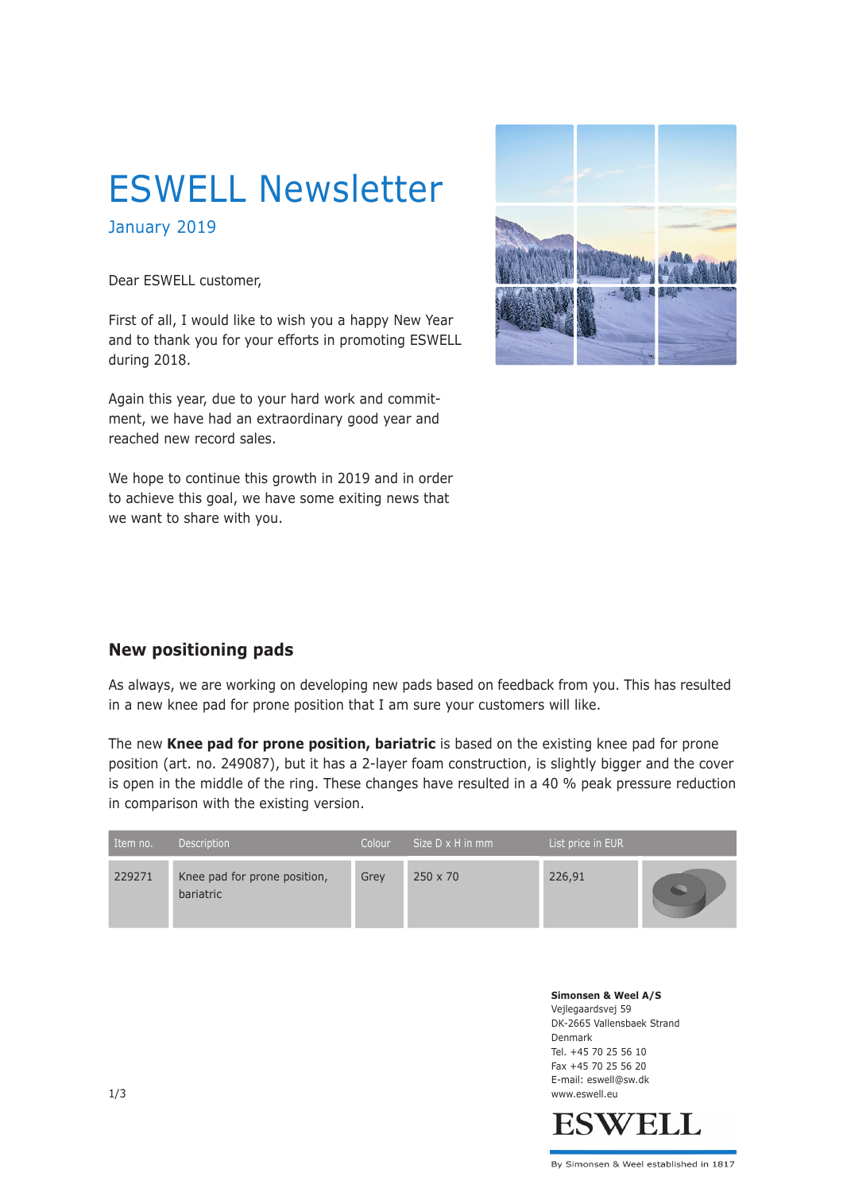# ESWELL Newsletter

January 2019

Dear ESWELL customer,

First of all, I would like to wish you a happy New Year and to thank you for your efforts in promoting ESWELL during 2018.

Again this year, due to your hard work and commitment, we have had an extraordinary good year and reached new record sales.

We hope to continue this growth in 2019 and in order to achieve this goal, we have some exiting news that we want to share with you.



### **New positioning pads**

As always, we are working on developing new pads based on feedback from you. This has resulted in a new knee pad for prone position that I am sure your customers will like.

The new **Knee pad for prone position, bariatric** is based on the existing knee pad for prone position (art. no. 249087), but it has a 2-layer foam construction, is slightly bigger and the cover is open in the middle of the ring. These changes have resulted in a 40 % peak pressure reduction in comparison with the existing version.

| Item no. | <b>Description</b>                        | Colour | Size $D \times H$ in mm | List price in EUR |  |
|----------|-------------------------------------------|--------|-------------------------|-------------------|--|
| 229271   | Knee pad for prone position,<br>bariatric | Grev   | $250 \times 70$         | 226,91            |  |

**Simonsen & Weel A/S** Vejlegaardsvej 59 DK-2665 Vallensbaek Strand Denmark Tel. +45 70 25 56 10 Fax +45 70 25 56 20 E-mail: eswell@sw.dk 1/3 www.eswell.eu

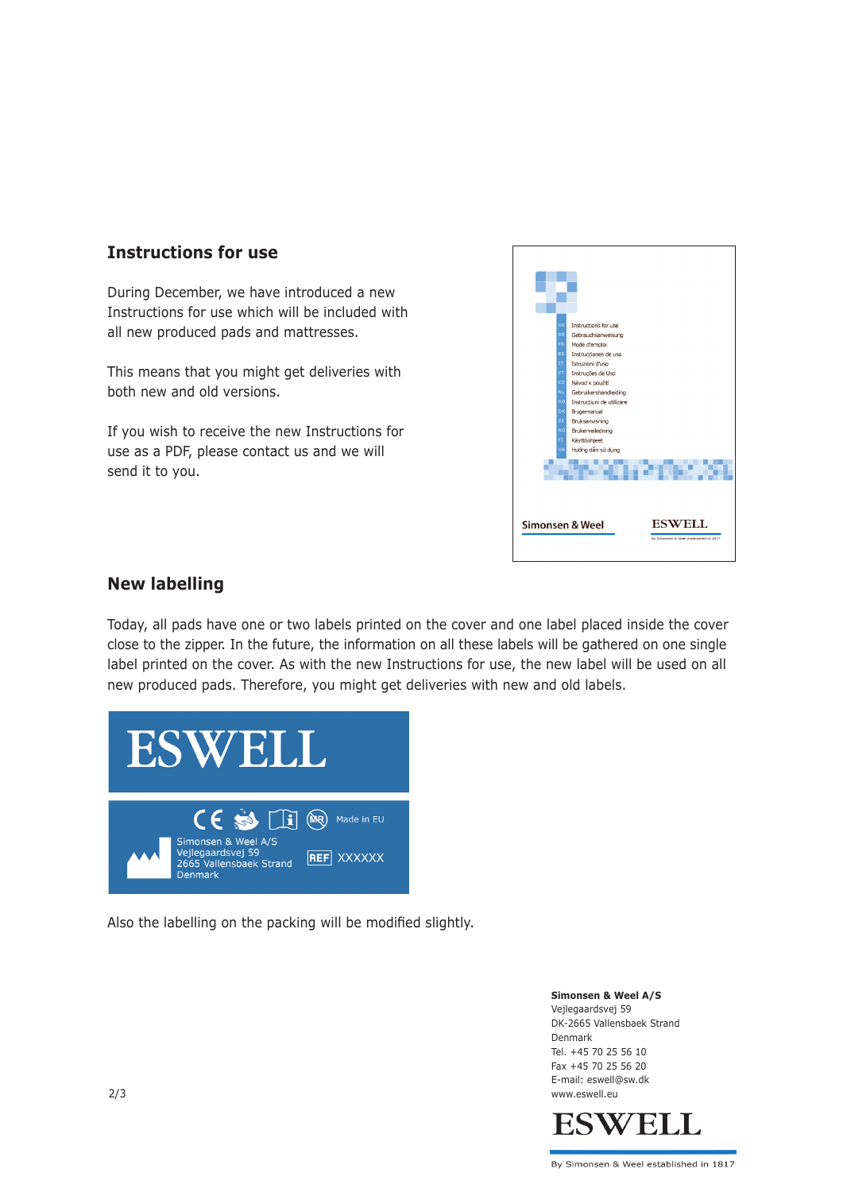## **Instructions for use**

During December, we have introduced a new Instructions for use which will be included with all new produced pads and mattresses.

This means that you might get deliveries with both new and old versions.

If you wish to receive the new Instructions for use as a PDF, please contact us and we will send it to you.



#### **New labelling**

Today, all pads have one or two labels printed on the cover and one label placed inside the cover close to the zipper. In the future, the information on all these labels will be gathered on one single label printed on the cover. As with the new Instructions for use, the new label will be used on all new produced pads. Therefore, you might get deliveries with new and old labels.



Also the labelling on the packing will be modified slightly.

**Simonsen & Weel A/S** Vejlegaardsvej 59 DK-2665 Vallensbaek Strand Denmark Tel. +45 70 25 56 10 Fax +45 70 25 56 20 E-mail: eswell@sw.dk 2/3 www.eswell.eu



By Simonsen & Weel established in 1817